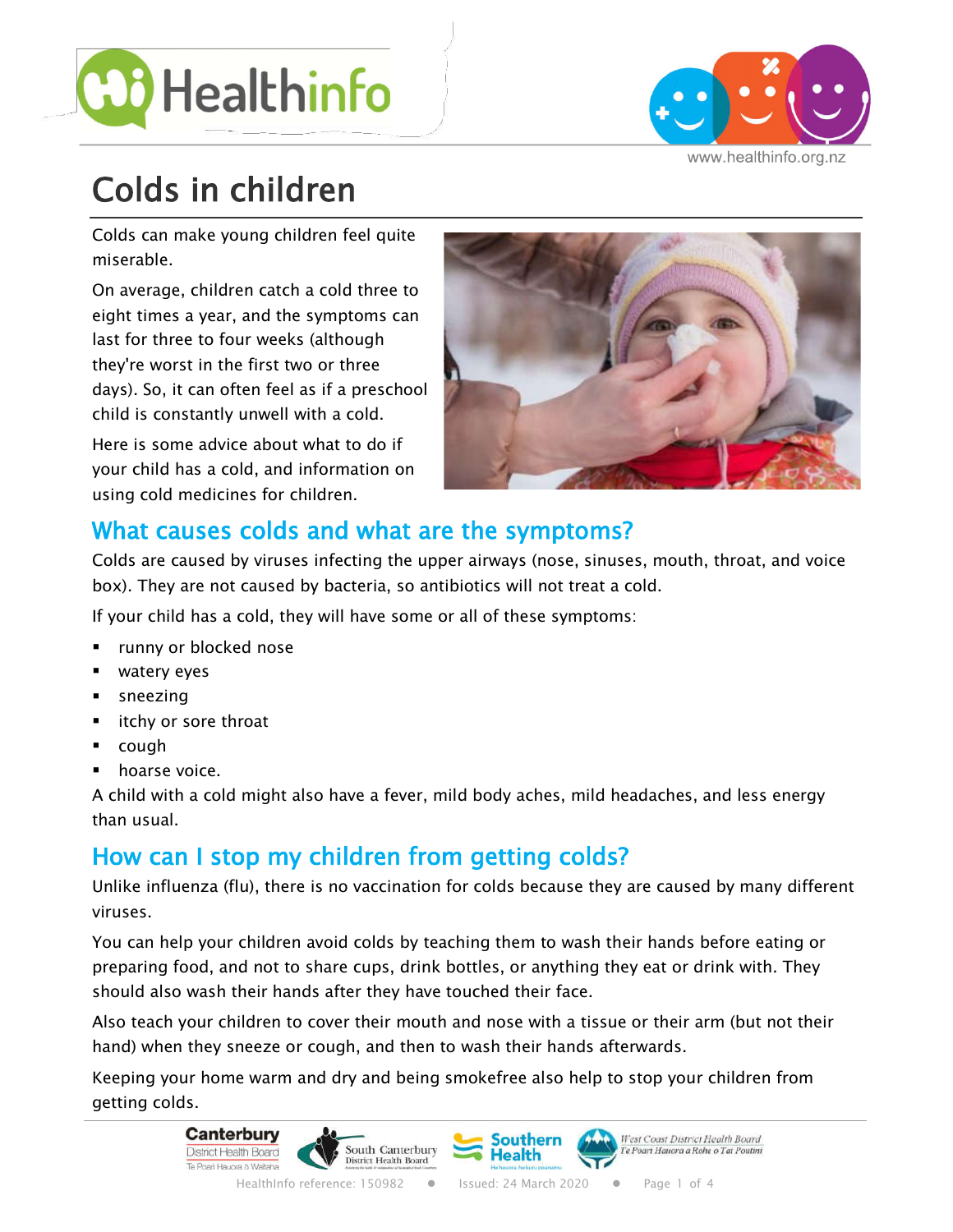



www.healthinfo.org.nz

# Colds in children

Colds can make young children feel quite miserable.

On average, children catch a cold three to eight times a year, and the symptoms can last for three to four weeks (although they're worst in the first two or three days). So, it can often feel as if a preschool child is constantly unwell with a cold.

Here is some advice about what to do if your child has a cold, and information on using cold medicines for children.



# What causes colds and what are the symptoms?

Colds are caused by viruses infecting the upper airways (nose, sinuses, mouth, throat, and voice box). They are not caused by bacteria, so antibiotics will not treat a cold.

If your child has a cold, they will have some or all of these symptoms:

- runny or blocked nose
- watery eyes
- § sneezing
- itchy or sore throat
- cough
- **•** hoarse voice.

A child with a cold might also have a fever, mild body aches, mild headaches, and less energy than usual.

# How can I stop my children from getting colds?

Unlike influenza (flu), there is no vaccination for colds because they are caused by many different viruses.

You can help your children avoid colds by teaching them to wash their hands before eating or preparing food, and not to share cups, drink bottles, or anything they eat or drink with. They should also wash their hands after they have touched their face.

Also teach your children to cover their mouth and nose with a tissue or their arm (but not their hand) when they sneeze or cough, and then to wash their hands afterwards.

Keeping your home warm and dry and being smokefree also help to stop your children from getting colds.

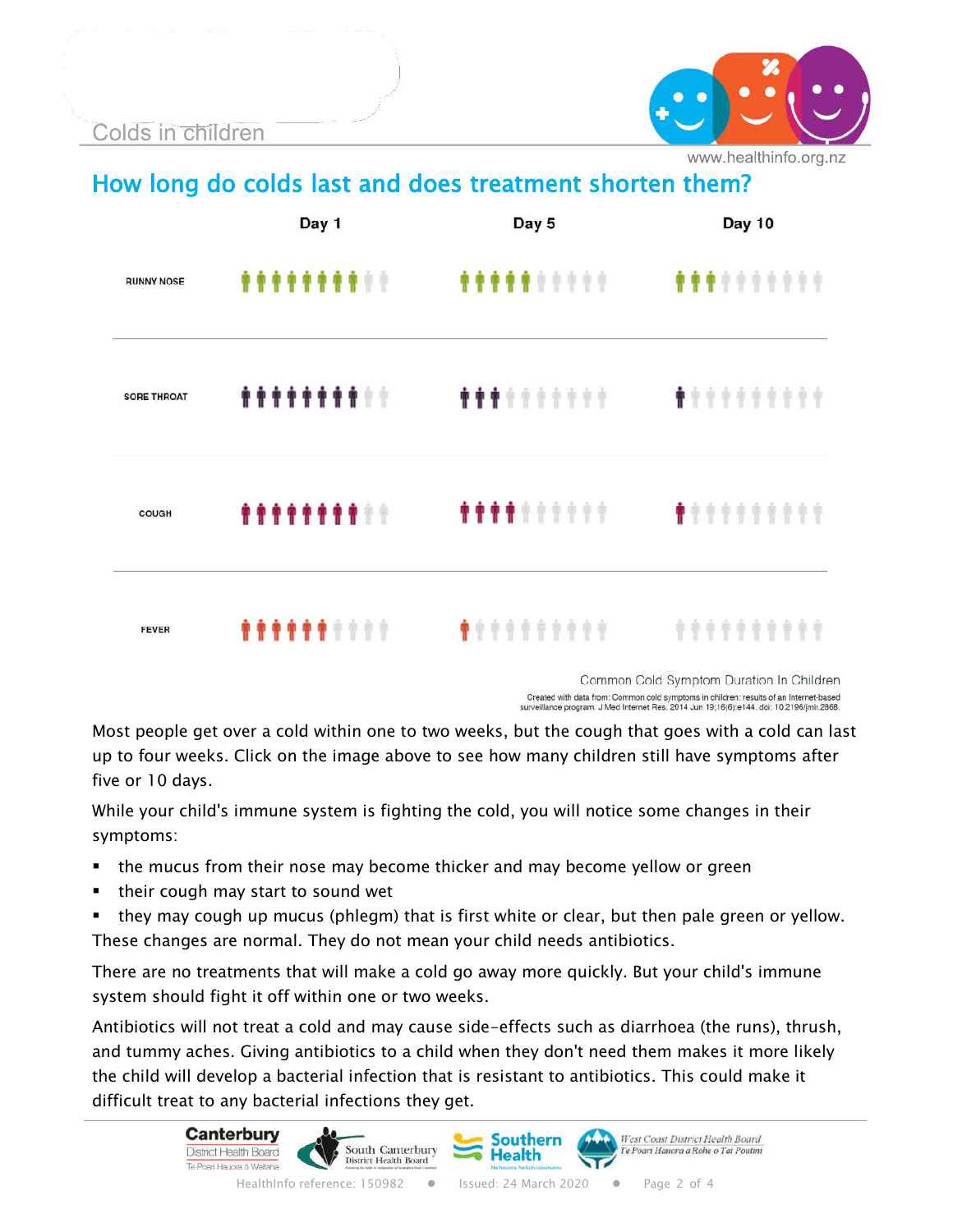Colds in children



www.healthinfo.org.nz

How long do colds last and does treatment shorten them?

|                    | Day 1              | Day 5                           | <b>Day 10</b>                    |
|--------------------|--------------------|---------------------------------|----------------------------------|
| <b>RUNNY NOSE</b>  | <b>********</b> ** | <b><i><u>**********</u></i></b> | <b><i><u>**********</u>*</i></b> |
| <b>SORE THROAT</b> | <b>*********</b>   |                                 |                                  |
| COUGH              | <b>*********</b>   | <b>****</b> ******              | ,,,,,,,,,,                       |
| <b>FEVER</b>       | <b>******</b> **** | <b>**********</b>               | **********                       |

Common Cold Symptom Duration In Children Created with data from: Common cold symptoms in children: results of an Internet-based<br>surveillance program. J Med Internet Res. 2014 Jun 19;16(6):e144. doi: 10.2196/jmir.2868.

Most people get over a cold within one to two weeks, but the cough that goes with a cold can last up to four weeks. Click on the image above to see how many children still have symptoms after five or 10 days.

While your child's immune system is fighting the cold, you will notice some changes in their symptoms:

- the mucus from their nose may become thicker and may become yellow or green
- their cough may start to sound wet
- they may cough up mucus (phlegm) that is first white or clear, but then pale green or yellow. These changes are normal. They do not mean your child needs antibiotics.

There are no treatments that will make a cold go away more quickly. But your child's immune system should fight it off within one or two weeks.

Antibiotics will not treat a cold and may cause side-effects such as diarrhoea (the runs), thrush, and tummy aches. Giving antibiotics to a child when they don't need them makes it more likely the child will develop a bacterial infection that is resistant to antibiotics. This could make it difficult treat to any bacterial infections they get.

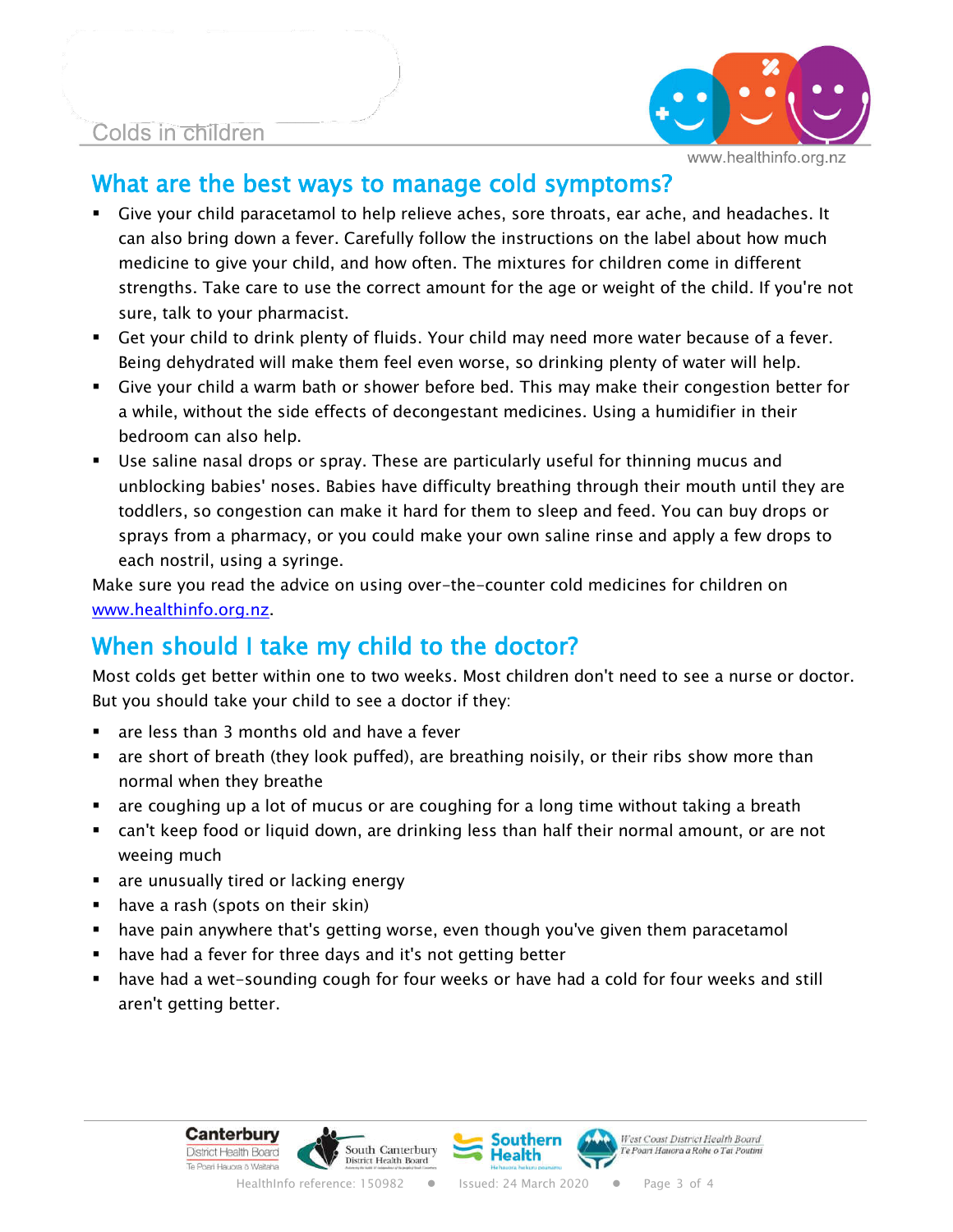#### Colds in children



### What are the best ways to manage cold symptoms?

- § Give your child paracetamol to help relieve aches, sore throats, ear ache, and headaches. It can also bring down a fever. Carefully follow the instructions on the label about how much medicine to give your child, and how often. The mixtures for children come in different strengths. Take care to use the correct amount for the age or weight of the child. If you're not sure, talk to your pharmacist.
- § Get your child to drink plenty of fluids. Your child may need more water because of a fever. Being dehydrated will make them feel even worse, so drinking plenty of water will help.
- § Give your child a warm bath or shower before bed. This may make their congestion better for a while, without the side effects of decongestant medicines. Using a humidifier in their bedroom can also help.
- Use saline nasal drops or spray. These are particularly useful for thinning mucus and unblocking babies' noses. Babies have difficulty breathing through their mouth until they are toddlers, so congestion can make it hard for them to sleep and feed. You can buy drops or sprays from a pharmacy, or you could make your own saline rinse and apply a few drops to each nostril, using a syringe.

Make sure you read the advice on using over-the-counter cold medicines for children on www.healthinfo.org.nz.

# When should I take my child to the doctor?

Most colds get better within one to two weeks. Most children don't need to see a nurse or doctor. But you should take your child to see a doctor if they:

- § are less than 3 months old and have a fever
- are short of breath (they look puffed), are breathing noisily, or their ribs show more than normal when they breathe
- are coughing up a lot of mucus or are coughing for a long time without taking a breath
- can't keep food or liquid down, are drinking less than half their normal amount, or are not weeing much
- **EXT** are unusually tired or lacking energy
- have a rash (spots on their skin)
- **■** have pain anywhere that's getting worse, even though you've given them paracetamol
- have had a fever for three days and it's not getting better
- § have had a wet-sounding cough for four weeks or have had a cold for four weeks and still aren't getting better.